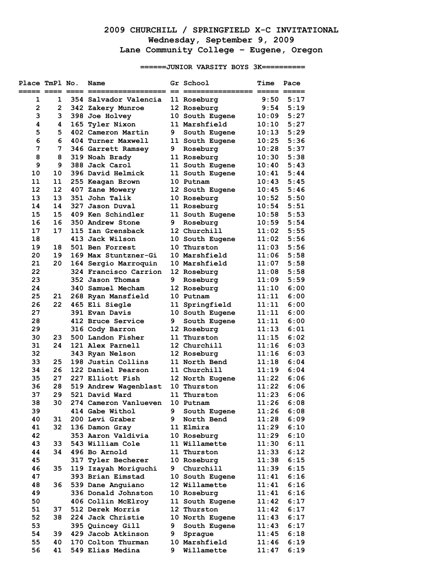## **2009 CHURCHILL / SPRINGFIELD X-C INVITATIONAL Wednesday, September 9, 2009 Lane Community College – Eugene, Oregon**

**======JUNIOR VARSITY BOYS 3K==========** 

| Place TmPl No. |                | Name                                     |    | Gr School                      | Time                      | Pace         |
|----------------|----------------|------------------------------------------|----|--------------------------------|---------------------------|--------------|
| 1              | 1              | 354 Salvador Valencia                    |    | 11 Roseburg                    | 9:50                      | 5:17         |
| $\overline{2}$ | $\overline{2}$ | 342 Zakery Munroe                        |    | 12 Roseburg                    | 9:54                      | 5:19         |
| 3              | 3              | 398 Joe Holvey                           |    | 10 South Eugene                | 10:09                     | 5:27         |
| 4              | 4              | 165 Tyler Nixon                          |    | 11 Marshfield                  | 10:10                     | 5:27         |
| 5              | 5              | 402 Cameron Martin                       | 9  | South Eugene                   | 10:13                     | 5:29         |
| 6              | 6              | 404 Turner Maxwell                       |    | 11 South Eugene                | 10:25                     | 5:36         |
| 7              | 7              | 346 Garrett Ramsey                       | 9  | Roseburg                       | 10:28                     | 5:37         |
| 8              | 8              | 319 Noah Brady                           |    | 11 Roseburg                    | 10:30                     | 5:38         |
| 9              | 9              | 388 Jack Carol                           |    | 11 South Eugene                | 10:40                     | 5:43         |
| 10             | 10             | 396 David Helmick                        |    | 11 South Eugene                | 10:41                     | 5:44         |
| 11             | 11             | 255 Keagan Brown                         |    | 10 Putnam                      | $\mathtt{10:43}$          | 5:45         |
| 12             | 12             | 407 Zane Mowery                          |    | 12 South Eugene                | 10:45                     | 5:46         |
| 13             | 13             | 351 John Talik                           |    | 10 Roseburg                    | 10:52                     | 5:50         |
| 14             | 14             | 327 Jason Duval                          |    | 11 Roseburg                    | 10:54                     | 5:51         |
| 15             | 15             | 409 Ken Schindler                        |    | 11 South Eugene                | 10:58                     | 5:53         |
| 16             | 16             | 350 Andrew Stone                         | 9  | Roseburg                       | 10:59                     | 5:54         |
| 17             | 17             | 115 Ian Grensback                        |    | 12 Churchill                   | $\texttt{11:02}$          | 5:55         |
| 18             |                | 413 Jack Wilson                          |    | 10 South Eugene                | $\texttt{11:02}$          | 5:56         |
| 19             | 18             | 501 Ben Forrest                          |    | 10 Thurston                    | 11:03                     | 5:56         |
| 20             | 19             | 169 Max Stuntzner-Gi                     |    | 10 Marshfield                  | 11:06                     | 5:58         |
| 21             | 20             | 164 Sergio Marroquin                     |    | 10 Marshfield                  | $\mathtt{11:07}$          | 5:58         |
| 22             |                | 324 Francisco Carrion                    |    | 12 Roseburg                    | 11:08                     | 5:58         |
| 23             |                | 352 Jason Thomas                         | 9  | Roseburg                       | 11:09                     | 5:59         |
| 24             |                | <b>340 Samuel Mecham</b>                 |    | 12 Roseburg                    | 11:10                     | 6:00         |
| 25             | 21             | 268 Ryan Mansfield                       |    | 10 Putnam                      | 11:11                     | 6:00         |
| 26             | 22             | 465 Eli Siegle                           |    | 11 Springfield                 | 11:11                     | 6:00         |
| 27             |                | 391 Evan Davis                           |    | 10 South Eugene                | $\mathtt{11}:\mathtt{11}$ | 6:00         |
| 28             |                | 412 Bruce Service                        | 9  | South Eugene                   | 11:11                     | 6:00         |
| 29             |                | 316 Cody Barron                          |    | 12 Roseburg                    | 11:13                     | 6:01         |
| 30             | 23             | 500 Landon Fisher                        |    | 11 Thurston                    | $\mathtt{11:15}$          | 6:02         |
| 31             | 24             | 121 Alex Parnell                         |    | 12 Churchill                   | 11:16                     | 6:03         |
| 32             |                | 343 Ryan Nelson                          |    | 12 Roseburg                    | 11:16                     | 6:03         |
| 33             | 25             | 198 Justin Collins                       |    | 11 North Bend                  | $\mathtt{11:18}$          | 6:04         |
| 34             | 26             | 122 Daniel Pearson                       |    | 11 Churchill                   | 11:19                     | 6:04         |
| 35             | 27             | 227 Elliott Fish                         |    | 12 North Eugene                | 11:22                     | 6:06         |
| 36             | 28             | 519 Andrew Wagenblast                    |    | 10 Thurston                    | 11:22                     | 6:06         |
| 37             | 29             | 521 David Ward                           |    | 11 Thurston                    | 11:23                     | 6:06         |
| 38             | 30             | 274 Cameron Vanlueven                    |    | 10 Putnam                      | 11:26                     | 6:08         |
| 39             |                | 414 Gabe Withol                          | 9. | South Eugene                   | 11:26                     | 6:08         |
| 40             | 31             | 200 Levi Graber                          | 9  | North Bend                     | 11:28                     | 6:09         |
| 41             | 32             | 136 Damon Gray                           |    | 11 Elmira                      | 11:29                     | 6:10         |
| 42             |                | 353 Aaron Valdivia                       |    | 10 Roseburg                    | 11:29                     | 6:10         |
| 43             | 33             | 543 William Cole                         |    | 11 Willamette                  | 11:30                     | 6:11         |
| 44             | 34             | 496 Bo Arnold                            |    | 11 Thurston                    | 11:33                     | 6:12         |
| 45             |                | 317 Tyler Becherer                       |    | 10 Roseburg                    | 11:38                     | 6:15         |
| 46             | 35             | 119 Izayah Moriguchi                     | 9  | Churchill                      | 11:39                     | 6:15         |
| 47<br>48       | 36             | 393 Brian Eimstad                        |    | 10 South Eugene                | 11:41                     | 6:16<br>6:16 |
| 49             |                | 539 Dane Anguiano<br>336 Donald Johnston |    | 12 Willamette<br>10 Roseburg   | 11:41<br>11:41            | 6:16         |
| 50             |                |                                          |    |                                | 11:42                     | 6:17         |
| 51             | 37             | 406 Collin McElroy<br>512 Derek Morris   |    | 11 South Eugene<br>12 Thurston | 11:42                     | 6:17         |
| 52             | 38             | 224 Jack Christie                        |    | 10 North Eugene                | 11:43                     | 6:17         |
| 53             |                | 395 Quincey Gill                         | 9  | South Eugene                   | 11:43                     | 6:17         |
| 54             | 39             | 429 Jacob Atkinson                       | 9. | Sprague                        | 11:45                     | 6:18         |
| 55             | 40             | 170 Colton Thurman                       |    | 10 Marshfield                  | 11:46                     | 6:19         |
| 56             | 41             | 549 Elias Medina                         | 9  | Willamette                     | 11:47                     | 6:19         |
|                |                |                                          |    |                                |                           |              |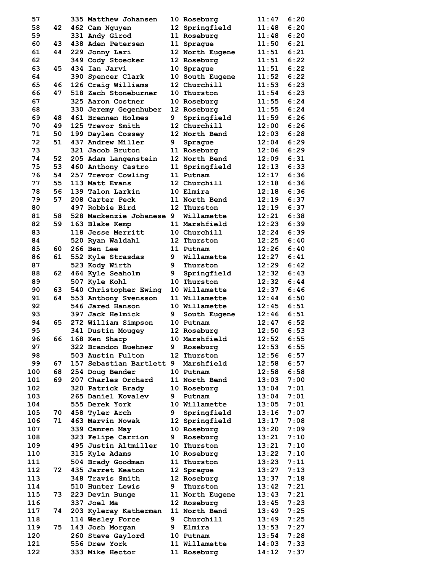| 57         |          | 335 Matthew Johansen                     |    | 10 Roseburg                  | 11:47            | 6:20         |
|------------|----------|------------------------------------------|----|------------------------------|------------------|--------------|
| 58         | 42       | 462 Cam Nguyen                           |    | 12 Springfield               | 11:48            | 6:20         |
| 59         |          | 331 Andy Girod                           |    | 11 Roseburg                  | 11:48            | 6:20         |
| 60         | 43       | 438 Aden Petersen                        |    | 11 Sprague                   | 11:50            | 6:21         |
| 61         | 44       | 229 Jonny Lari                           |    | 12 North Eugene              | 11:51            | 6:21         |
| 62         |          | 349 Cody Stoecker                        |    | 12 Roseburg                  | 11:51            | 6:22         |
| 63         | 45       | 434 Ian Jarvi                            |    | 10 Sprague                   | $\mathtt{11:51}$ | 6:22         |
| 64         |          | 390 Spencer Clark                        |    | 10 South Eugene              | 11:52            | 6:22         |
| 65         | 46       | 126 Craig Williams                       |    | 12 Churchill                 | 11:53            | 6:23         |
| 66         | 47       | 518 Zach Stoneburner                     |    | 10 Thurston                  | 11:54            | 6:23         |
| 67         |          | 325 Aaron Costner                        |    | 10 Roseburg                  | 11:55            | 6:24         |
| 68         |          | 330 Jeremy Gegenhuber                    |    | 12 Roseburg                  | 11:55            | 6:24         |
| 69         | 48       | 461 Brennen Holmes                       | 9  | Springfield                  | 11:59            | 6:26         |
| 70         | 49       | 125 Trevor Smith                         |    | 12 Churchill                 | 12:00            | 6:26         |
| 71         | 50       | 199 Daylen Cossey                        |    | 12 North Bend                | 12:03            | 6:28         |
| 72         | 51       | 437 Andrew Miller                        | 9  | Sprague                      | 12:04            | 6:29         |
| 73         |          | 321 Jacob Bruton                         |    | 11 Roseburg                  | 12:06            | 6:29<br>6:31 |
| 74<br>75   | 52       | 205 Adam Langenstein                     |    | <b>12 North Bend</b>         | 12:09            |              |
| 76         | 53<br>54 | 460 Anthony Castro<br>257 Trevor Cowling |    | 11 Springfield<br>11 Putnam  | 12:13<br>12:17   | 6:33<br>6:36 |
| 77         | 55       | 113 Matt Evans                           |    | 12 Churchill                 | 12:18            | 6:36         |
| 78         | 56       | 139 Talon Larkin                         |    | 10 Elmira                    | 12:18            | 6:36         |
| 79         | 57       | 208 Carter Peck                          |    | 11 North Bend                | 12:19            | 6:37         |
| 80         |          | 497 Robbie Bird                          |    | 12 Thurston                  | 12:19            | 6:37         |
| 81         | 58       | 528 Mackenzie Johanese 9                 |    | Willamette                   | 12:21            | 6:38         |
| 82         | 59       | 163 Blake Kemp                           |    | 11 Marshfield                | 12:23            | 6:39         |
| 83         |          | 118 Jesse Merritt                        |    | 10 Churchill                 | 12:24            | 6:39         |
| 84         |          | 520 Ryan Waldahl                         |    | 12 Thurston                  | 12:25            | 6:40         |
| 85         | 60       | 266 Ben Lee                              |    | 11 Putnam                    | 12:26            | 6:40         |
| 86         | 61       | 552 Kyle Strasdas                        |    | 9 Willamette                 | 12:27            | 6:41         |
| 87         |          | 523 Kody Wirth                           | 9  | Thurston                     | 12:29            | 6:42         |
| 88         | 62       | 464 Kyle Seaholm                         | 9. | Springfield                  | 12:32            | 6:43         |
| 89         |          | 507 Kyle Kohl                            |    | 10 Thurston                  | 12:32            | 6:44         |
| 90         | 63       | 540 Christopher Ewing                    |    | 10 Willamette                | 12:37            | 6:46         |
| 91         | 64       | 553 Anthony Svensson                     |    | 11 Willamette                | 12:44            | 6:50         |
| 92         |          | 546 Jared Hanson                         |    | 10 Willamette                | 12:45            | 6:51         |
| 93         |          | 397 Jack Helmick                         | 9  | South Eugene                 | 12:46            | 6:51         |
| 94         | 65       | 272 William Simpson                      |    | 10 Putnam                    | 12:47            | 6:52         |
| 95         |          | 341 Dustin Mougey                        |    | 12 Roseburg                  | 12:50            | 6:53         |
| 96         |          | 66 168 Ken Sharp                         |    | 10 Marshfield                | $12:52$ 6:55     |              |
| 97         |          | 322 Brandon Buehner                      | 9  | Roseburg                     | 12:53            | 6:55         |
| 98         |          | 503 Austin Fulton                        |    | 12 Thurston                  | 12:56            | 6:57         |
| 99         | 67       | 157 Sebastian Bartlett 9 Marshfield      |    |                              | 12:58            | 6:57<br>6:58 |
| 100        | 68<br>69 | 254 Doug Bender<br>207 Charles Orchard   |    | 10 Putnam                    | 12:58            | 7:00         |
| 101<br>102 |          | 320 Patrick Brady                        |    | 11 North Bend<br>10 Roseburg | 13:03<br>13:04   | 7:01         |
| 103        |          | 265 Daniel Kovalev                       | 9. | Putnam                       | 13:04            | 7:01         |
| 104        |          | 555 Derek York                           |    | 10 Willamette                | 13:05            | 7:01         |
| 105        | 70       | 458 Tyler Arch                           |    | 9 Springfield                | 13:16            | 7:07         |
| 106        | 71       | 463 Marvin Nowak                         |    | 12 Springfield               | 13:17            | 7:08         |
| 107        |          | 339 Camren May                           |    | 10 Roseburg                  | 13:20            | 7:09         |
| 108        |          | 323 Felipe Carrion                       | 9  | Roseburg                     | 13:21            | 7:10         |
| 109        |          | 495 Justin Altmiller                     |    | 10 Thurston                  | 13:21            | 7:10         |
| 110        |          | 315 Kyle Adams                           |    | 10 Roseburg                  | 13:22            | 7:10         |
| 111        |          | 504 Brady Goodman                        |    | 11 Thurston                  | 13:23            | 7:11         |
| 112        | 72       | 435 Jarret Keaton                        |    | 12 Sprague                   | 13:27            | 7:13         |
| 113        |          | 348 Travis Smith                         |    | 12 Roseburg                  | 13:37            | 7:18         |
| 114        |          | <b>510 Hunter Lewis</b>                  | 9  | Thurston                     | 13:42            | 7:21         |
| 115        | 73       | 223 Devin Bunge                          |    | 11 North Eugene              | 13:43            | 7:21         |
| 116        |          | 337 Joel Ma                              |    | 12 Roseburg                  | 13:45            | 7:23         |
| 117        | 74       | 203 Kyleray Katherman                    |    | 11 North Bend                | 13:49            | 7:25         |
| 118        |          | 114 Wesley Force                         |    | 9 Churchill                  | 13:49            | 7:25         |
| 119        | 75       | 143 Josh Morgan                          |    | 9 Elmira                     | 13:53            | 7:27         |
| 120        |          | 260 Steve Gaylord                        |    | 10 Putnam                    | 13:54            | 7:28         |
| 121        |          | 556 Drew York                            |    | 11 Willamette                | 14:03            | 7:33         |
| 122        |          | 333 Mike Hector                          |    | 11 Roseburg                  | 14:12            | 7:37         |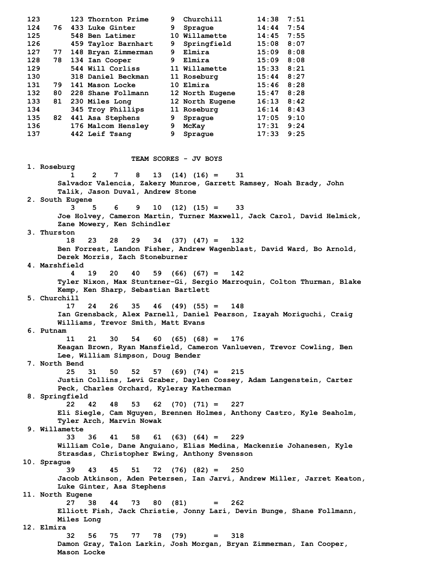**125 548 Ben Latimer 10 Willamette 14:45 7:55 126 459 Taylor Barnhart 9 Springfield 15:08 8:07 127 77 148 Bryan Zimmerman 9 Elmira 15:09 8:08 128 78 134 Ian Cooper 9 Elmira 15:09 8:08 129 544 Will Corliss 11 Willamette 15:33 8:21 130 318 Daniel Beckman 11 Roseburg 15:44 8:27 131 79 141 Mason Locke 10 Elmira 15:46 8:28 132 80 228 Shane Follmann 12 North Eugene 15:47 8:28 133 81 230 Miles Long 12 North Eugene 16:13 8:42 134 345 Troy Phillips 11 Roseburg 16:14 8:43 135 82 441 Asa Stephens 9 Sprague 17:05 9:10 136 176 Malcom Hensley 9 McKay 17:31 9:24 137 442 Leif Tsang 9 Sprague 17:33 9:25 TEAM SCORES - JV BOYS 1. Roseburg 1 2 7 8 13 (14) (16) = 31 Salvador Valencia, Zakery Munroe, Garrett Ramsey, Noah Brady, John Talik, Jason Duval, Andrew Stone 2. South Eugene 3 5 6 9 10 (12) (15) = 33 Joe Holvey, Cameron Martin, Turner Maxwell, Jack Carol, David Helmick, Zane Mowery, Ken Schindler 3. Thurston 18 23 28 29 34 (37) (47) = 132 Ben Forrest, Landon Fisher, Andrew Wagenblast, David Ward, Bo Arnold, Derek Morris, Zach Stoneburner 4. Marshfield 4 19 20 40 59 (66) (67) = 142 Tyler Nixon, Max Stuntzner-Gi, Sergio Marroquin, Colton Thurman, Blake Kemp, Ken Sharp, Sebastian Bartlett 5. Churchill 17 24 26 35 46 (49) (55) = 148 Ian Grensback, Alex Parnell, Daniel Pearson, Izayah Moriguchi, Craig Williams, Trevor Smith, Matt Evans 6. Putnam 11 21 30 54 60 (65) (68) = 176 Keagan Brown, Ryan Mansfield, Cameron Vanlueven, Trevor Cowling, Ben Lee, William Simpson, Doug Bender 7. North Bend 25 31 50 52 57 (69) (74) = 215 Justin Collins, Levi Graber, Daylen Cossey, Adam Langenstein, Carter Peck, Charles Orchard, Kyleray Katherman 8. Springfield 22 42 48 53 62 (70) (71) = 227 Eli Siegle, Cam Nguyen, Brennen Holmes, Anthony Castro, Kyle Seaholm, Tyler Arch, Marvin Nowak 9. Willamette 33 36 41 58 61 (63) (64) = 229 William Cole, Dane Anguiano, Elias Medina, Mackenzie Johanesen, Kyle Strasdas, Christopher Ewing, Anthony Svensson 10. Sprague 39 43 45 51 72 (76) (82) = 250 Jacob Atkinson, Aden Petersen, Ian Jarvi, Andrew Miller, Jarret Keaton, Luke Ginter, Asa Stephens 11. North Eugene 27 38 44 73 80 (81) = 262 Elliott Fish, Jack Christie, Jonny Lari, Devin Bunge, Shane Follmann, Miles Long 12. Elmira 32 56 75 77 78 (79) = 318 Damon Gray, Talon Larkin, Josh Morgan, Bryan Zimmerman, Ian Cooper, Mason Locke** 

 **123 123 Thornton Prime 9 Churchill 14:38 7:51 124 76 433 Luke Ginter 9 Sprague 14:44 7:54**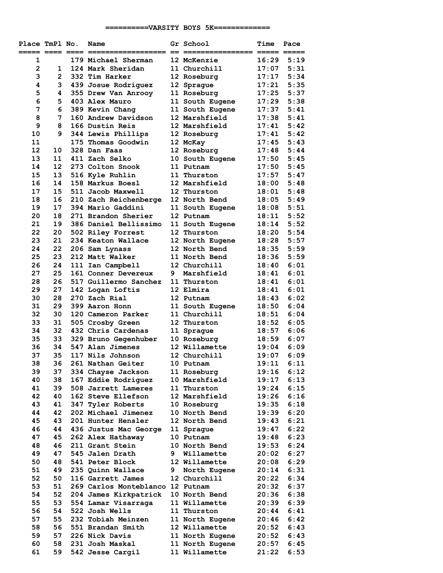## **==========VARSITY BOYS 5K=============**

| Place TmPl No.<br>===== ==== ==== |          | Name<br>-------------------              |   | Gr School                    | Time             | Pace<br>===== ===== |
|-----------------------------------|----------|------------------------------------------|---|------------------------------|------------------|---------------------|
| 1                                 |          | 179 Michael Sherman                      |   | 12 McKenzie                  | 16:29            | 5:19                |
| $\overline{2}$                    | 1        | 124 Mark Sheridan                        |   | 11 Churchill                 | 17:07            | 5:31                |
| 3                                 | 2        | 332 Tim Harker                           |   | 12 Roseburg                  | 17:17            | 5:34                |
| 4                                 | 3        | 439 Josue Rodriquez                      |   | 12 Sprague                   | 17:21            | 5:35                |
| 5                                 | 4        | 355 Drew Van Anrooy                      |   | 11 Roseburg                  | 17:25            | 5:37                |
| 6                                 | 5        | 403 Alex Mauro                           |   | 11 South Eugene              | 17:29            | 5:38                |
| 7                                 | 6        | 389 Kevin Chang                          |   | 11 South Eugene              | 17:37            | 5:41                |
| 8                                 | 7        | 160 Andrew Davidson                      |   | 12 Marshfield                | 17:38            | 5:41                |
| 9                                 | 8        | 166 Dustin Reis                          |   | 12 Marshfield                | 17:41            | 5:42                |
| 10                                | 9        | 344 Lewis Phillips                       |   | 12 Roseburg                  | 17:41            | 5:42                |
| 11                                |          | 175 Thomas Goodwin                       |   | 12 McKay                     | 17:45            | 5:43                |
| 12                                | 10       | 328 Dan Faas                             |   | 12 Roseburg                  | 17:48            | 5:44                |
| 13                                | 11       | 411 Zach Selko                           |   | 10 South Eugene              | 17:50            | 5:45                |
| 14                                | 12       | 273 Colton Snook                         |   | 11 Putnam                    | 17:50            | 5:45                |
| 15                                | 13       | 516 Kyle Ruhlin                          |   | 11 Thurston                  | 17:57            | 5:47                |
| 16                                | 14       | 158 Markus Boesl                         |   | 12 Marshfield                | $\mathtt{18:00}$ | 5:48                |
| 17                                | 15       | 511 Jacob Maxwell                        |   | 12 Thurston                  | $\mathtt{18:01}$ | 5:48                |
| 18                                | 16       | 210 Zach Reichenberge                    |   | 12 North Bend                | 18:05            | 5:49                |
| 19                                | 17       | 394 Mario Gaddini                        |   | 11 South Eugene              | 18:08            | 5:51                |
| 20                                | 18       | 271 Brandon Sherier                      |   | 12 Putnam                    | 18:11            | 5:52                |
| 21                                | 19       | 386 Daniel Bellissimo                    |   | 11 South Eugene              | 18:14            | 5:52                |
| 22                                | 20       | 502 Riley Forrest                        |   | 12 Thurston                  | 18:20            | 5:54                |
| 23                                | 21       | 234 Keaton Wallace                       |   | 12 North Eugene              | 18:28            | 5:57                |
| 24                                | 22       | 206 Sam Lynass                           |   | 12 North Bend                | 18:35            | 5:59                |
| 25                                | 23       | 212 Matt Walker                          |   | 11 North Bend                | 18:36            | 5:59                |
| 26                                | 24       | 111 Ian Campbell                         |   | 12 Churchill                 | 18:40            | 6:01                |
| 27                                | 25       | 161 Conner Devereux                      | 9 | Marshfield                   | 18:41            | 6:01                |
| 28                                | 26       | 517 Guillermo Sanchez                    |   | 11 Thurston                  | 18:41            | 6:01                |
| 29                                | 27       | 142 Logan Loftis                         |   | 12 Elmira                    | 18:41            | 6:01                |
| 30                                | 28       | 270 Zach Rial                            |   | 12 Putnam                    | 18:43            | 6:02                |
| 31                                | 29       | 399 Aaron Honn                           |   | 11 South Eugene              | 18:50            | 6:04                |
| 32                                | 30       | 120 Cameron Parker                       |   | 11 Churchill                 | 18:51<br>18:52   | 6:04                |
| 33                                | 31<br>32 | 505 Crosby Green                         |   | 12 Thurston                  |                  | 6:05<br>6:06        |
| 34                                | 33       | 432 Chris Cardenas                       |   | 11 Sprague                   | 18:57            | 6:07                |
| 35<br>36                          | 34       | 329 Bruno Gegenhuber<br>547 Alan Jimenes |   | 10 Roseburg<br>12 Willamette | 18:59<br>19:04   | 6:09                |
| 37                                | 35       | 117 Nils Johnson                         |   | 12 Churchill                 | 19:07            | 6:09                |
| 38                                | 36       | 261 Nathan Geiter                        |   | 10 Putnam                    | 19:11            | 6:11                |
| 39                                | 37       | 334 Chayse Jackson                       |   | 11 Roseburg                  | 19:16            | 6:12                |
| 40                                | 38       | 167 Eddie Rodriguez                      |   | 10 Marshfield                | 19:17            | 6:13                |
| 41                                | 39       | 508 Jarrett Lameres                      |   | 11 Thurston                  | 19:24            | 6:15                |
| 42                                | 40       | 162 Steve Ellefson                       |   | 12 Marshfield                | 19:26            | 6:16                |
| 43                                | 41       | 347 Tyler Roberts                        |   | 10 Roseburg                  | 19:35            | 6:18                |
| 44                                | 42       | 202 Michael Jimenez                      |   | 10 North Bend                | 19:39            | 6:20                |
| 45                                | 43       | 201 Hunter Hensler                       |   | 12 North Bend                | 19:43            | 6:21                |
| 46                                | 44       | 436 Justus Mac George                    |   | 11 Sprague                   | 19:47            | 6:22                |
| 47                                | 45       | 262 Alex Hathaway                        |   | 10 Putnam                    | 19:48            | 6:23                |
| 48                                | 46       | 211 Grant Stein                          |   | 10 North Bend                | 19:53            | 6:24                |
| 49                                | 47       | 545 Jalen Drath                          | 9 | Willamette                   | 20:02            | 6:27                |
| 50                                | 48       | 541 Peter Block                          |   | 12 Willamette                | 20:08            | 6:29                |
| 51                                | 49       | 235 Quinn Wallace                        | 9 | North Eugene                 | 20:14            | 6:31                |
| 52                                | 50       | 116 Garrett James                        |   | 12 Churchill                 | 20:22            | 6:34                |
| 53                                | 51       | 269 Carlos Monteblanco 12 Putnam         |   |                              | 20:32            | 6:37                |
| 54                                | 52       | 204 James Kirkpatrick                    |   | 10 North Bend                | 20:36            | 6:38                |
| 55                                | 53       | 554 Lamar Visarraga                      |   | 11 Willamette                | 20:39            | 6:39                |
| 56                                | 54       | 522 Josh Wells                           |   | 11 Thurston                  | 20:44            | 6:41                |
| 57                                | 55       | 232 Tobiah Meinzen                       |   | 11 North Eugene              | 20:46            | 6:42                |
| 58                                | 56       | 551 Brandan Smith                        |   | 12 Willamette                | 20:52            | 6:43                |
| 59                                | 57       | 226 Nick Davis                           |   | 11 North Eugene              | 20:52            | 6:43                |
| 60                                | 58       | 231 Josh Maskal                          |   | 11 North Eugene              | 20:57            | 6:45                |
| 61                                | 59       | 542 Jesse Cargil                         |   | 11 Willamette                | 21:22            | 6:53                |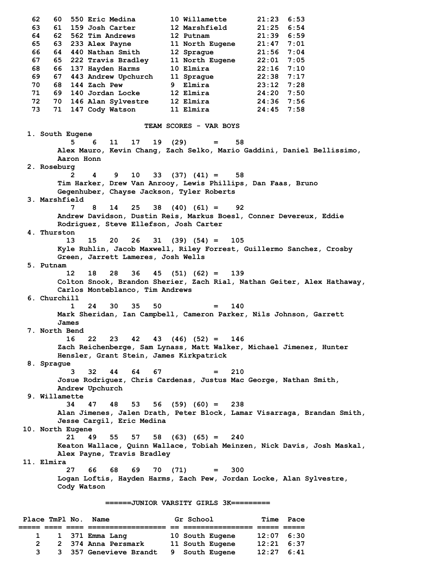**62 60 550 Eric Medina 10 Willamette 21:23 6:53 63 61 159 Josh Carter 12 Marshfield 21:25 6:54 64 62 562 Tim Andrews 12 Putnam 21:39 6:59 65 63 233 Alex Payne 11 North Eugene 21:47 7:01 66 64 440 Nathan Smith 12 Sprague 21:56 7:04 67 65 222 Travis Bradley 11 North Eugene 22:01 7:05 68 66 137 Hayden Harms 10 Elmira 22:16 7:10 69 67 443 Andrew Upchurch 11 Sprague 22:38 7:17 70 68 144 Zach Pew 9 Elmira 23:12 7:28 71 69 140 Jordan Locke 12 Elmira 24:20 7:50 72 70 146 Alan Sylvestre 12 Elmira 24:36 7:56 73 71 147 Cody Watson 11 Elmira 24:45 7:58 TEAM SCORES - VAR BOYS 1. South Eugene 5 6 11 17 19 (29) = 58 Alex Mauro, Kevin Chang, Zach Selko, Mario Gaddini, Daniel Bellissimo, Aaron Honn 2. Roseburg 2 4 9 10 33 (37) (41) = 58 Tim Harker, Drew Van Anrooy, Lewis Phillips, Dan Faas, Bruno Gegenhuber, Chayse Jackson, Tyler Roberts 3. Marshfield 7 8 14 25 38 (40) (61) = 92 Andrew Davidson, Dustin Reis, Markus Boesl, Conner Devereux, Eddie Rodriguez, Steve Ellefson, Josh Carter 4. Thurston 13 15 20 26 31 (39) (54) = 105 Kyle Ruhlin, Jacob Maxwell, Riley Forrest, Guillermo Sanchez, Crosby Green, Jarrett Lameres, Josh Wells 5. Putnam 12 18 28 36 45 (51) (62) = 139 Colton Snook, Brandon Sherier, Zach Rial, Nathan Geiter, Alex Hathaway, Carlos Monteblanco, Tim Andrews 6. Churchill 1 24 30 35 50 = 140 Mark Sheridan, Ian Campbell, Cameron Parker, Nils Johnson, Garrett James 7. North Bend 16 22 23 42 43 (46) (52) = 146 Zach Reichenberge, Sam Lynass, Matt Walker, Michael Jimenez, Hunter Hensler, Grant Stein, James Kirkpatrick 8. Sprague 3 32 44 64 67 = 210 Josue Rodriguez, Chris Cardenas, Justus Mac George, Nathan Smith, Andrew Upchurch 9. Willamette 34 47 48 53 56 (59) (60) = 238 Alan Jimenes, Jalen Drath, Peter Block, Lamar Visarraga, Brandan Smith, Jesse Cargil, Eric Medina 10. North Eugene 21 49 55 57 58 (63) (65) = 240 Keaton Wallace, Quinn Wallace, Tobiah Meinzen, Nick Davis, Josh Maskal, Alex Payne, Travis Bradley 11. Elmira 27 66 68 69 70 (71) = 300 Logan Loftis, Hayden Harms, Zach Pew, Jordan Locke, Alan Sylvestre, Cody Watson ======JUNIOR VARSITY GIRLS 3K=========**  Place TmPl No. Name **Gr School** Time Pace **===== ==== ==== ================== == ================ ===== ===== 1 1 371 Emma Lang 10 South Eugene 12:07 6:30 2 2 374 Anna Persmark 11 South Eugene 12:21 6:37 3 3 357 Genevieve Brandt 9 South Eugene 12:27 6:41**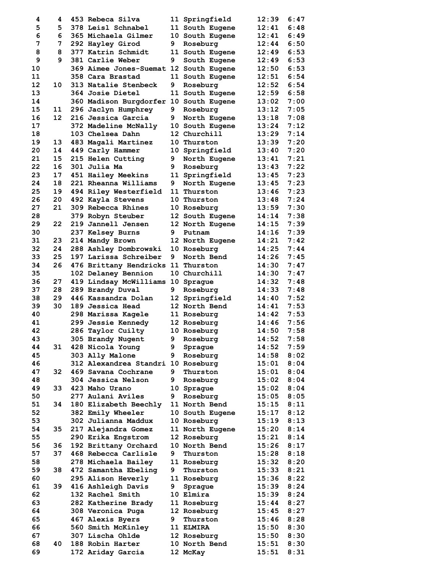| 4                 | 4  | 453 Rebeca Silva                       |    | 11 Springfield  | 12:39 | 6:47 |
|-------------------|----|----------------------------------------|----|-----------------|-------|------|
| 5                 | 5  | 378 Leisl Schnabel                     |    | 11 South Eugene | 12:41 | 6:48 |
| 6                 | 6  | 365 Michaela Gilmer                    |    | 10 South Eugene | 12:41 | 6:49 |
| 7                 | 7  | 292 Hayley Girod                       | 9  | Roseburg        | 12:44 | 6:50 |
| 8                 | 8  | 377 Katrin Schmidt                     |    | 11 South Eugene | 12:49 | 6:53 |
| 9                 | 9  | <b>381 Carlie Weber</b>                | 9  | South Eugene    | 12:49 | 6:53 |
| 10                |    | 369 Aimee Jones-Suemat 12 South Eugene |    |                 | 12:50 | 6:53 |
| 11                |    | 358 Cara Brastad                       |    | 11 South Eugene | 12:51 | 6:54 |
| $12 \overline{ }$ | 10 | <b>313 Natalie Stenbeck</b>            | 9  | Roseburg        | 12:52 | 6:54 |
| 13                |    | <b>364 Josie Dietel</b>                |    | 11 South Eugene | 12:59 | 6:58 |
| 14                |    | 360 Madison Burgdorfer 10 South Eugene |    |                 | 13:02 | 7:00 |
| 15                | 11 | 296 Jaclyn Humphrey                    | 9  | Roseburg        | 13:12 | 7:05 |
| 16                | 12 | 216 Jessica Garcia                     | 9  | North Eugene    | 13:18 | 7:08 |
| 17                |    | 372 Madeline McNally                   |    | 10 South Eugene | 13:24 | 7:12 |
| 18                |    | 103 Chelsea Dahn                       |    | 12 Churchill    | 13:29 | 7:14 |
| 19                | 13 | 483 Magali Martinez                    |    | 10 Thurston     | 13:39 | 7:20 |
| 20                | 14 |                                        |    |                 | 13:40 | 7:20 |
| 21                |    | 449 Carly Hammer                       |    | 10 Springfield  |       |      |
|                   | 15 | 215 Helen Cutting                      | 9. | North Eugene    | 13:41 | 7:21 |
| 22                | 16 | 301 Julia Ma                           | 9  | Roseburg        | 13:43 | 7:22 |
| 23                | 17 | 451 Hailey Meekins                     |    | 11 Springfield  | 13:45 | 7:23 |
| 24                | 18 | 221 Rheanna Williams                   | 9  | North Eugene    | 13:45 | 7:23 |
| 25                | 19 | 494 Riley Westerfield                  |    | 11 Thurston     | 13:46 | 7:23 |
| 26                | 20 | 492 Kayla Stevens                      |    | 10 Thurston     | 13:48 | 7:24 |
| 27                | 21 | 309 Rebecca Rhines                     |    | 10 Roseburg     | 13:59 | 7:30 |
| 28                |    | 379 Robyn Steuber                      |    | 12 South Eugene | 14:14 | 7:38 |
| 29                | 22 | 219 Jannell Jensen                     |    | 12 North Eugene | 14:15 | 7:39 |
| 30                |    | 237 Kelsey Burns                       | 9  | Putnam          | 14:16 | 7:39 |
| 31                | 23 | 214 Mandy Brown                        |    | 12 North Eugene | 14:21 | 7:42 |
| 32                | 24 | 288 Ashley Dombrowski                  |    | 10 Roseburg     | 14:25 | 7:44 |
| 33                | 25 | 197 Larissa Schreiber                  | 9  | North Bend      | 14:26 | 7:45 |
| 34                | 26 | 476 Brittany Hendricks 11 Thurston     |    |                 | 14:30 | 7:47 |
| 35                |    | 102 Delaney Bennion                    |    | 10 Churchill    | 14:30 | 7:47 |
| 36                | 27 | 419 Lindsay McWilliams 10 Sprague      |    |                 | 14:32 | 7:48 |
| 37                | 28 | 289 Brandy Duval                       | 9. | Roseburg        | 14:33 | 7:48 |
| 38                | 29 | 446 Kassandra Dolan                    |    | 12 Springfield  | 14:40 | 7:52 |
| 39                | 30 | 189 Jessica Head                       |    | 12 North Bend   | 14:41 | 7:53 |
| 40                |    | 298 Marissa Kagele                     |    | 11 Roseburg     | 14:42 | 7:53 |
| 41                |    | 299 Jessie Kennedy                     |    | 12 Roseburg     | 14:46 | 7:56 |
| 42                |    | 286 Taylor Cuilty                      |    | 10 Roseburg     | 14:50 | 7:58 |
| 43                |    | 305 Brandy Nugent                      |    | 9 Roseburg      | 14:52 | 7:58 |
| 44                | 31 | 428 Nicola Young                       | 9  | Sprague         | 14:52 | 7:59 |
| 45                |    | 303 Ally Malone                        | 9  | Roseburg        | 14:58 | 8:02 |
| 46                |    | 312 Alexandrea Standri 10 Roseburg     |    |                 | 15:01 | 8:04 |
| 47                | 32 | 469 Savana Cochrane                    | 9  | Thurston        | 15:01 | 8:04 |
| 48                |    | 304 Jessica Nelson                     |    | 9 Roseburg      | 15:02 | 8:04 |
| 49                | 33 | 423 Maho Urano                         |    | 10 Sprague      | 15:02 | 8:04 |
| 50                |    | 277 Aulani Aviles                      | 9. | Roseburg        | 15:05 | 8:05 |
| 51                | 34 | 180 Elizabeth Beechly                  |    | 11 North Bend   | 15:15 | 8:11 |
| 52                |    | 382 Emily Wheeler                      |    | 10 South Eugene | 15:17 | 8:12 |
| 53                |    | 302 Julianna Maddux                    |    | 10 Roseburg     | 15:19 | 8:13 |
| 54                | 35 | 217 Alejandra Gomez                    |    | 11 North Eugene | 15:20 | 8:14 |
| 55                |    | 290 Erika Engstrom                     |    | 12 Roseburg     | 15:21 | 8:14 |
| 56                | 36 | 192 Brittany Orchard                   |    | 10 North Bend   | 15:26 | 8:17 |
| 57                | 37 | 468 Rebecca Carlisle                   | 9  | Thurston        | 15:28 | 8:18 |
| 58                |    |                                        |    |                 |       | 8:20 |
|                   |    | 278 Michaela Bailey                    |    | 11 Roseburg     | 15:32 |      |
| 59                | 38 | 472 Samantha Ebeling                   |    | 9 Thurston      | 15:33 | 8:21 |
| 60                |    | 295 Alison Heverly                     |    | 11 Roseburg     | 15:36 | 8:22 |
| 61                | 39 | 416 Ashleigh Davis                     | 9  | Spraque         | 15:39 | 8:24 |
| 62                |    | 132 Rachel Smith                       |    | 10 Elmira       | 15:39 | 8:24 |
| 63                |    | 282 Katherine Brady                    |    | 11 Roseburg     | 15:44 | 8:27 |
| 64                |    | 308 Veronica Puga                      |    | 12 Roseburg     | 15:45 | 8:27 |
| 65                |    | 467 Alexis Byers                       | 9  | Thurston        | 15:46 | 8:28 |
| 66                |    | 560 Smith McKinley                     |    | 11 ELMIRA       | 15:50 | 8:30 |
| 67                |    | 307 Lischa Ohlde                       |    | 12 Roseburg     | 15:50 | 8:30 |
| 68                | 40 | 188 Robin Harter                       |    | 10 North Bend   | 15:51 | 8:30 |
| 69                |    | 172 Ariday Garcia                      |    | 12 McKay        | 15:51 | 8:31 |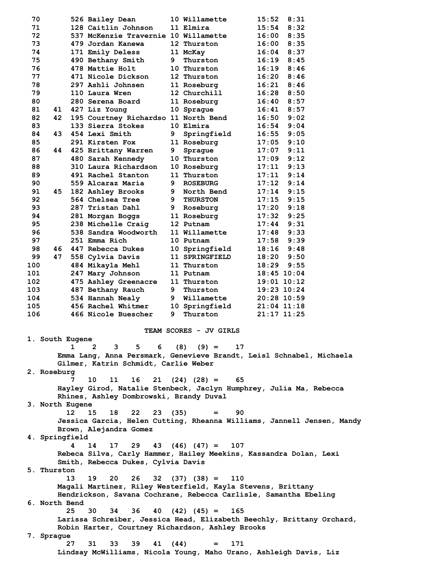| 70  |                                                  |    | 526 Bailey Dean                                                        |      | 10 Willamette                      | 15:52            | 8:31 |
|-----|--------------------------------------------------|----|------------------------------------------------------------------------|------|------------------------------------|------------------|------|
| 71  |                                                  |    | 128 Caitlin Johnson                                                    |      | 11 Elmira                          | 15:54            | 8:32 |
| 72  |                                                  |    | 537 McKenzie Travernie 10 Willamette                                   |      |                                    | 16:00            | 8:35 |
| 73  |                                                  |    | 479 Jordan Kanewa                                                      |      | 12 Thurston                        | 16:00            | 8:35 |
| 74  |                                                  |    | 171 Emily Deless                                                       |      | 11 McKay                           | 16:04            | 8:37 |
| 75  |                                                  |    | 490 Bethany Smith                                                      | 9    | Thurston                           | 16:19            | 8:45 |
| 76  |                                                  |    | 478 Mattie Holt                                                        |      | 10 Thurston                        | 16:19            | 8:46 |
|     |                                                  |    |                                                                        |      |                                    |                  |      |
| 77  |                                                  |    | 471 Nicole Dickson                                                     |      | 12 Thurston                        | 16:20            | 8:46 |
| 78  |                                                  |    | 297 Ashli Johnsen                                                      |      | 11 Roseburg                        | 16:21            | 8:46 |
| 79  |                                                  |    | 110 Laura Wren                                                         |      | 12 Churchill                       | 16:28            | 8:50 |
| 80  |                                                  |    | 280 Serena Board                                                       |      | 11 Roseburg                        | 16:40            | 8:57 |
| 81  | 41                                               |    | 427 Liz Young                                                          |      | 10 Sprague                         | 16:41            | 8:57 |
| 82  |                                                  |    |                                                                        |      |                                    |                  |      |
|     | 42                                               |    | 195 Courtney Richardso 11 North Bend                                   |      |                                    | 16:50            | 9:02 |
| 83  |                                                  |    | 133 Sierra Stokes                                                      |      | 10 Elmira                          | 16:54            | 9:04 |
| 84  | 43                                               |    | 454 Lexi Smith                                                         | 9    | Springfield                        | 16:55            | 9:05 |
| 85  |                                                  |    | 291 Kirsten Fox                                                        |      | 11 Roseburg                        | 17:05            | 9:10 |
| 86  | 44                                               |    | 425 Brittany Warren                                                    | 9.   | Sprague                            | $\mathtt{17:07}$ | 9:11 |
| 87  |                                                  |    | 480 Sarah Kennedy                                                      |      | 10 Thurston                        | 17:09            | 9:12 |
|     |                                                  |    |                                                                        |      |                                    |                  |      |
| 88  |                                                  |    | 310 Laura Richardson                                                   |      | 10 Roseburg                        | 17:11            | 9:13 |
| 89  |                                                  |    | 491 Rachel Stanton                                                     |      | 11 Thurston                        | 17:11            | 9:14 |
| 90  |                                                  |    | 559 Alcaraz Maria                                                      | 9    | <b>ROSEBURG</b>                    | 17:12            | 9:14 |
| 91  | 45                                               |    | 182 Ashley Brooks                                                      |      | 9 North Bend                       | 17:14            | 9:15 |
| 92  |                                                  |    | 564 Chelsea Tree                                                       |      | 9 THURSTON                         | 17:15            | 9:15 |
| 93  |                                                  |    | 287 Tristan Dahl                                                       |      |                                    | 17:20            | 9:18 |
|     |                                                  |    |                                                                        | 9    | Roseburg                           |                  |      |
| 94  |                                                  |    | 281 Morgan Boggs                                                       |      | 11 Roseburg                        | 17:32            | 9:25 |
| 95  |                                                  |    | 238 Michelle Craig                                                     |      | 12 Putnam                          | 17:44            | 9:31 |
| 96  |                                                  |    | 538 Sandra Woodworth                                                   |      | 11 Willamette                      | 17:48            | 9:33 |
| 97  |                                                  |    | 251 Emma Rich                                                          |      | 10 Putnam                          | 17:58            | 9:39 |
| 98  | 46                                               |    | 447 Rebecca Dukes                                                      |      | 10 Springfield                     | 18:16            | 9:48 |
| 99  | 47                                               |    |                                                                        |      | 11 SPRINGFIELD                     | 18:20            | 9:50 |
|     |                                                  |    | 558 Cylvia Davis                                                       |      |                                    |                  |      |
| 100 |                                                  |    | 484 Mikayla Mehl                                                       |      | 11 Thurston                        | 18:29            | 9:55 |
| 101 |                                                  |    | 247 Mary Johnson                                                       |      | 11 Putnam                          | $18:45$ $10:04$  |      |
| 102 |                                                  |    | 475 Ashley Greenacre                                                   |      | 11 Thurston                        | $19:01$ $10:12$  |      |
| 103 |                                                  |    | 487 Bethany Rauch                                                      | 9    | Thurston                           | 19:23 10:24      |      |
| 104 |                                                  |    | 534 Hannah Nealy                                                       |      | 9 Willamette                       | 20:28 10:59      |      |
| 105 |                                                  |    | 456 Rachel Whitmer                                                     |      | 10 Springfield                     | $21:04$ $11:18$  |      |
|     |                                                  |    |                                                                        |      | Thurston                           |                  |      |
| 106 |                                                  |    | 466 Nicole Buescher                                                    | 9    |                                    | $21:17$ $11:25$  |      |
|     |                                                  |    |                                                                        |      |                                    |                  |      |
|     |                                                  |    |                                                                        |      | <b>TEAM SCORES - JV GIRLS</b>      |                  |      |
|     | 1. South Eugene                                  |    |                                                                        |      |                                    |                  |      |
|     |                                                  | 1  | $\mathbf{2}^{\prime}$<br>$3^{\circ}$<br>5.<br>6                        |      | $(8)$ $(9) =$<br>17                |                  |      |
|     |                                                  |    | Emma Lang, Anna Persmark, Genevieve Brandt, Leisl Schnabel, Michaela   |      |                                    |                  |      |
|     |                                                  |    | Gilmer, Katrin Schmidt, Carlie Weber                                   |      |                                    |                  |      |
|     |                                                  |    |                                                                        |      |                                    |                  |      |
|     | 2. Roseburg                                      |    |                                                                        |      |                                    |                  |      |
|     |                                                  | 7  | 10<br>11<br>16                                                         |      | $21 \quad (24) \quad (28) =$<br>65 |                  |      |
|     |                                                  |    | Hayley Girod, Natalie Stenbeck, Jaclyn Humphrey, Julia Ma, Rebecca     |      |                                    |                  |      |
|     |                                                  |    | Rhines, Ashley Dombrowski, Brandy Duval                                |      |                                    |                  |      |
|     | 3. North Eugene                                  |    |                                                                        |      |                                    |                  |      |
|     |                                                  | 12 | 18<br>22<br>15                                                         |      | 23 (35)<br>90<br>$=$               |                  |      |
|     |                                                  |    |                                                                        |      |                                    |                  |      |
|     |                                                  |    | Jessica Garcia, Helen Cutting, Rheanna Williams, Jannell Jensen, Mandy |      |                                    |                  |      |
|     |                                                  |    | Brown, Alejandra Gomez                                                 |      |                                    |                  |      |
|     | 4. Springfield                                   |    |                                                                        |      |                                    |                  |      |
|     |                                                  | 4  | 17<br>14                                                               |      | $29$ 43 (46) (47) =<br>107         |                  |      |
|     |                                                  |    | Rebeca Silva, Carly Hammer, Hailey Meekins, Kassandra Dolan, Lexi      |      |                                    |                  |      |
|     |                                                  |    | Smith, Rebecca Dukes, Cylvia Davis                                     |      |                                    |                  |      |
|     |                                                  |    |                                                                        |      |                                    |                  |      |
|     | 5. Thurston                                      |    |                                                                        |      |                                    |                  |      |
|     |                                                  | 13 | 19<br>20<br>26<br>32                                                   |      | $(37)$ $(38)$ =<br>110             |                  |      |
|     |                                                  |    | Magali Martinez, Riley Westerfield, Kayla Stevens, Brittany            |      |                                    |                  |      |
|     |                                                  |    | Hendrickson, Savana Cochrane, Rebecca Carlisle, Samantha Ebeling       |      |                                    |                  |      |
|     | 6. North Bend                                    |    |                                                                        |      |                                    |                  |      |
|     |                                                  | 25 | 30<br>34<br>36<br>40                                                   |      | $(42)$ $(45)$ =<br>165             |                  |      |
|     |                                                  |    |                                                                        |      |                                    |                  |      |
|     |                                                  |    | Larissa Schreiber, Jessica Head, Elizabeth Beechly, Brittany Orchard,  |      |                                    |                  |      |
|     | Robin Harter, Courtney Richardson, Ashley Brooks |    |                                                                        |      |                                    |                  |      |
|     | 7. Sprague                                       |    |                                                                        |      |                                    |                  |      |
|     |                                                  | 27 | 31<br>39<br>33<br>41                                                   | (44) | 171<br>$=$                         |                  |      |
|     |                                                  |    | Lindsay McWilliams, Nicola Young, Maho Urano, Ashleigh Davis, Liz      |      |                                    |                  |      |
|     |                                                  |    |                                                                        |      |                                    |                  |      |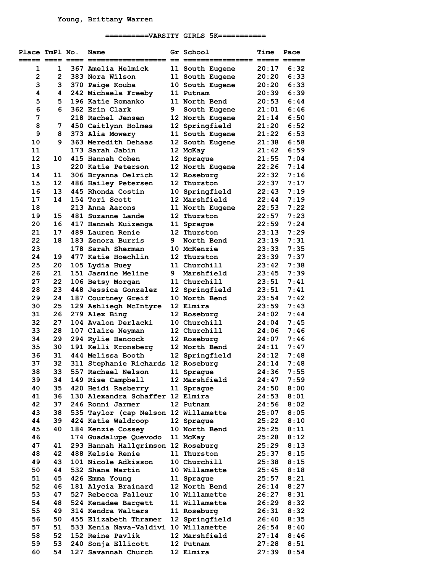## **==========VARSITY GIRLS 5K===========**

| Place TmPl No.     |                | Name                                 |   | Gr School          | <b>Time</b>           | Pace |
|--------------------|----------------|--------------------------------------|---|--------------------|-----------------------|------|
| ===== ==== ==== == |                |                                      |   | $==$ $== == == ==$ | $=$ ==== $=$ $=$ ==== |      |
| 1                  | 1              | 367 Amelia Helmick                   |   | 11 South Eugene    | 20:17                 | 6:32 |
| $\overline{2}$     | $\overline{2}$ | 383 Nora Wilson                      |   | 11 South Eugene    | 20:20                 | 6:33 |
| 3                  | 3              | 370 Paige Kouba                      |   | 10 South Eugene    | 20:20                 | 6:33 |
| 4                  | 4              | 242 Michaela Freeby                  |   | 11 Putnam          | 20:39                 | 6:39 |
| 5                  | 5              | 196 Katie Romanko                    |   | 11 North Bend      | 20:53                 | 6:44 |
| 6                  | 6              | 362 Erin Clark                       | 9 | South Eugene       | 21:01                 | 6:46 |
| 7                  |                | <b>218 Rachel Jensen</b>             |   | 12 North Eugene    | 21:14                 | 6:50 |
| 8                  | 7              | 450 Caitlynn Holmes                  |   | 12 Springfield     | 21:20                 | 6:52 |
| 9                  | 8              | 373 Alia Mowery                      |   | 11 South Eugene    | 21:22                 | 6:53 |
| 10                 | 9              | 363 Meredith Dehaas                  |   | 12 South Eugene    | 21:38                 | 6:58 |
| 11                 |                | 173 Sarah Jabin                      |   | 12 McKay           | 21:42                 | 6:59 |
| 12                 | 10             | 415 Hannah Cohen                     |   | 12 Sprague         | 21:55                 | 7:04 |
| 13                 |                | 220 Katie Peterson                   |   | 12 North Eugene    | 22:26                 | 7:14 |
| 14                 | 11             | 306 Bryanna Oelrich                  |   | 12 Roseburg        | 22:32                 | 7:16 |
| 15                 | 12             | 486 Hailey Petersen                  |   | 12 Thurston        | 22:37                 | 7:17 |
| 16                 | 13             | 445 Rhonda Costin                    |   | 10 Springfield     | 22:43                 | 7:19 |
| 17                 | 14             | 154 Tori Scott                       |   | 12 Marshfield      | 22:44                 | 7:19 |
| 18                 |                | 213 Anna Aarons                      |   | 11 North Eugene    | 22:53                 | 7:22 |
| 19                 | 15             | 481 Suzanne Lande                    |   | 12 Thurston        | 22:57                 | 7:23 |
| 20                 | 16             | 417 Hannah Kuizenga                  |   | 11 Sprague         | 22:59                 | 7:24 |
| 21                 | 17             | 489 Lauren Renie                     |   | 12 Thurston        | 23:13                 | 7:29 |
| 22                 | 18             | 183 Zenora Burris                    | 9 | North Bend         |                       | 7:31 |
|                    |                |                                      |   |                    | 23:19                 | 7:35 |
| 23                 |                | 178 Sarah Sherman                    |   | 10 McKenzie        | 23:33                 |      |
| 24                 | 19             | 477 Katie Hoechlin                   |   | 12 Thurston        | 23:39                 | 7:37 |
| 25                 | 20             | 105 Lydia Huey                       |   | 11 Churchill       | 23:42                 | 7:38 |
| 26                 | 21             | 151 Jasmine Meline                   |   | 9 Marshfield       | 23:45                 | 7:39 |
| 27                 | 22             | 106 Betsy Morgan                     |   | 11 Churchill       | 23:51                 | 7:41 |
| 28                 | 23             | 448 Jessica Gonzalez                 |   | 12 Springfield     | 23:51                 | 7:41 |
| 29                 | 24             | 187 Courtney Greif                   |   | 10 North Bend      | 23:54                 | 7:42 |
| 30                 | 25             | 129 Ashliegh McIntyre                |   | 12 Elmira          | 23:59                 | 7:43 |
| 31                 | 26             | 279 Alex Bing                        |   | 12 Roseburg        | 24:02                 | 7:44 |
| 32                 | 27             | 104 Avalon Derlacki                  |   | 10 Churchill       | 24:04                 | 7:45 |
| 33                 | 28             | 107 Claire Neyman                    |   | 12 Churchill       | 24:06                 | 7:46 |
| 34                 | 29             | 294 Rylie Hancock                    |   | 12 Roseburg        | 24:07                 | 7:46 |
| 35                 | 30             | 191 Kelli Kronsberg                  |   | 12 North Bend      | 24:11                 | 7:47 |
| 36                 | 31             | 444 Melissa Booth                    |   | 12 Springfield     | 24:12                 | 7:48 |
| 37                 | 32             | 311 Stephanie Richards 12 Roseburg   |   |                    | 24:14                 | 7:48 |
| 38                 | 33             | 557 Rachael Nelson 11 Sprague        |   |                    | 24:36                 | 7:55 |
| 39                 | 34             | 149 Rise Campbell                    |   | 12 Marshfield      | 24:47                 | 7:59 |
| 40                 | 35             | 420 Heidi Rasberry                   |   | 11 Sprague         | 24:50                 | 8:00 |
| 41                 | 36             | 130 Alexandra Schaffer 12 Elmira     |   |                    | 24:53                 | 8:01 |
| 42                 | 37             | 246 Ronni Jarmer                     |   | 12 Putnam          | 24:56                 | 8:02 |
| 43                 | 38             | 535 Taylor (cap Nelson 12 Willamette |   |                    | 25:07                 | 8:05 |
| 44                 | 39             | 424 Katie Waldroop                   |   | 12 Sprague         | 25:22                 | 8:10 |
| 45                 | 40             | 184 Kenzie Cossey                    |   | 10 North Bend      | 25:25                 | 8:11 |
| 46                 |                | 174 Guadalupe Quevodo                |   | 11 McKay           | 25:28                 | 8:12 |
| 47                 | 41             | 293 Hannah Hallgrimson 12 Roseburg   |   |                    | 25:29                 | 8:13 |
| 48                 | 42             | 488 Kelsie Renie                     |   | 11 Thurston        | 25:37                 | 8:15 |
| 49                 | 43             | 101 Nicole Adkisson                  |   | 10 Churchill       | 25:38                 | 8:15 |
| 50                 | 44             | 532 Shana Martin                     |   | 10 Willamette      | 25:45                 | 8:18 |
| 51                 | 45             | 426 Emma Young                       |   | 11 Sprague         | 25:57                 | 8:21 |
| 52                 | 46             | 181 Alycia Brainard                  |   | 12 North Bend      | 26:14                 | 8:27 |
| 53                 | 47             | 527 Rebecca Falleur                  |   | 10 Willamette      | 26:27                 | 8:31 |
| 54                 | 48             | 524 Kenadee Bargett                  |   | 11 Willamette      | 26:29                 | 8:32 |
| 55                 | 49             | 314 Kendra Walters                   |   | 11 Roseburg        | 26:31                 | 8:32 |
| 56                 | 50             | 455 Elizabeth Thramer                |   | 12 Springfield     | 26:40                 | 8:35 |
| 57                 | 51             | 533 Xenia Nava-Valdivi 10 Willamette |   |                    | 26:54                 | 8:40 |
| 58                 | 52             | 152 Reine Pavlik                     |   | 12 Marshfield      | 27:14                 | 8:46 |
| 59                 | 53             | 240 Sonja Ellicott                   |   | 12 Putnam          | 27:28                 | 8:51 |
| 60                 | 54             | 127 Savannah Church                  |   | 12 Elmira          | 27:39                 | 8:54 |